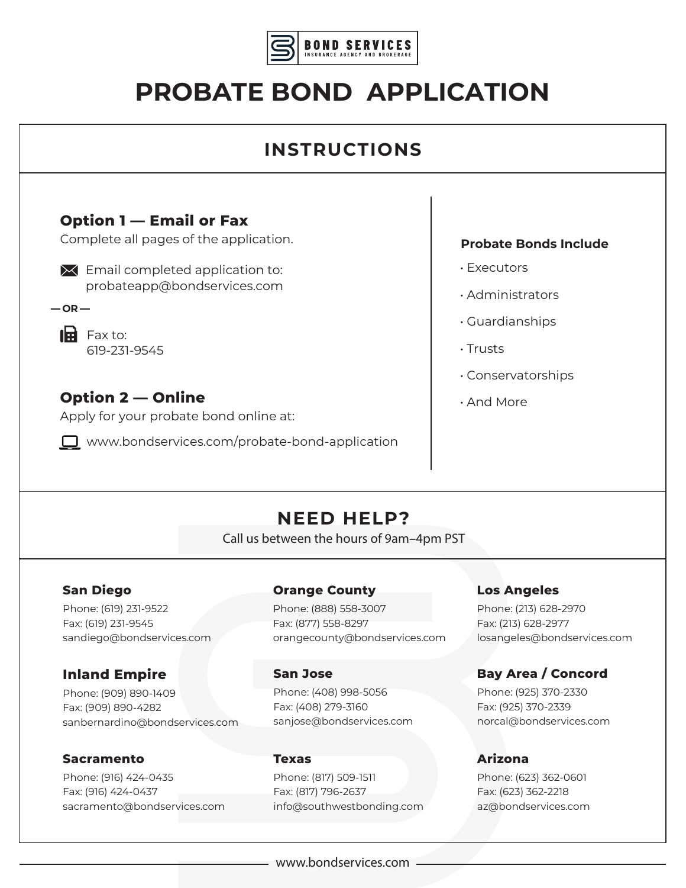

## **INSTRUCTIONS**

## **Option 1 — Email or Fax**

Complete all pages of the application.

 $\mathbf{\times}$  Email completed application to: probateapp@bondservices.com

 $-$ **OR** $-$ 

**in** Fax to: 619-231-9545

## **Option 2 — Online**

Apply for your probate bond online at:

□ www.bondservices.com/probate-bond-application

#### **Probate Bonds Include**

- Executors
- Administrators
- Guardianships
- Trusts
- Conservatorships
- And More

## **NEED HELP?**

Call us between the hours of 9am–4pm PST

## **San Diego**

Phone: (619) 231-9522 Fax: (619) 231-9545 sandiego@bondservices.com

## **Inland Empire**

Phone: (909) 890-1409 Fax: (909) 890-4282 sanbernardino@bondservices.com

#### **Sacramento**

Phone: (916) 424-0435 Fax: (916) 424-0437 sacramento@bondservices.com

### **Orange County**

Phone: (888) 558-3007 Fax: (877) 558-8297 orangecounty@bondservices.com

#### **San Jose**

Phone: (408) 998-5056 Fax: (408) 279-3160 sanjose@bondservices.com

#### **Texas**

Phone: (817) 509-1511 Fax: (817) 796-2637 info@southwestbonding.com

## **Los Angeles**

Phone: (213) 628-2970 Fax: (213) 628-2977 losangeles@bondservices.com

## **Bay Area / Concord**

Phone: (925) 370-2330 Fax: (925) 370-2339 norcal@bondservices.com

### **Arizona**

Phone: (623) 362-0601 Fax: (623) 362-2218 az@bondservices.com

www.bondservices.com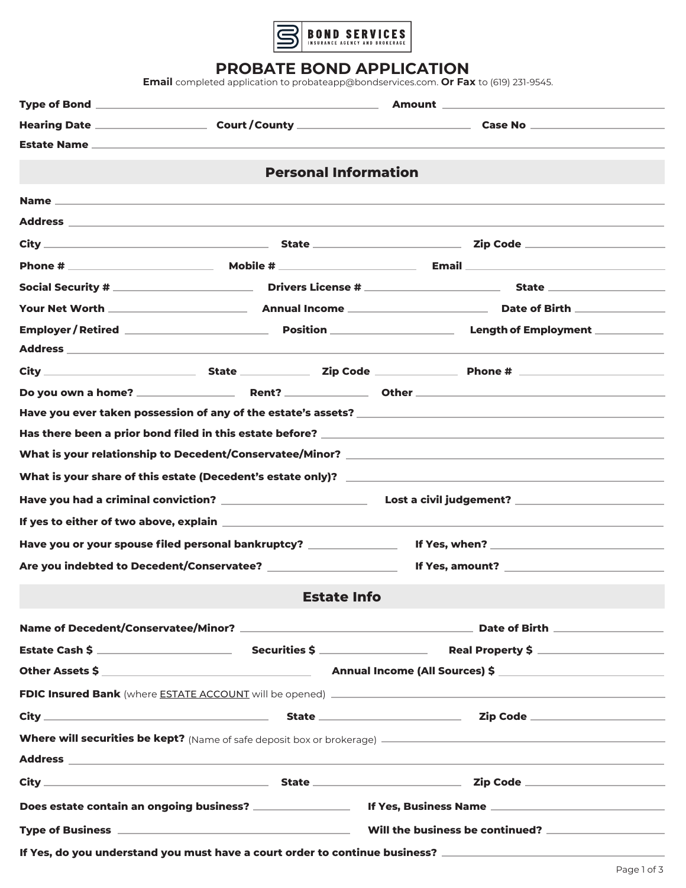

**Email** completed application to probateapp@bondservices.com. **Or Fax** to (619) 231-9545.

|                                                                                                                                                                                                                                | Amount <b>Amount Amount Amount</b>                                  |  |                                                                                                                                                                                                                                      |  |
|--------------------------------------------------------------------------------------------------------------------------------------------------------------------------------------------------------------------------------|---------------------------------------------------------------------|--|--------------------------------------------------------------------------------------------------------------------------------------------------------------------------------------------------------------------------------------|--|
|                                                                                                                                                                                                                                |                                                                     |  |                                                                                                                                                                                                                                      |  |
|                                                                                                                                                                                                                                |                                                                     |  |                                                                                                                                                                                                                                      |  |
|                                                                                                                                                                                                                                | <b>Personal Information</b>                                         |  |                                                                                                                                                                                                                                      |  |
|                                                                                                                                                                                                                                |                                                                     |  |                                                                                                                                                                                                                                      |  |
| Name and the contract of the contract of the contract of the contract of the contract of the contract of the contract of the contract of the contract of the contract of the contract of the contract of the contract of the c |                                                                     |  |                                                                                                                                                                                                                                      |  |
|                                                                                                                                                                                                                                |                                                                     |  |                                                                                                                                                                                                                                      |  |
|                                                                                                                                                                                                                                |                                                                     |  |                                                                                                                                                                                                                                      |  |
|                                                                                                                                                                                                                                |                                                                     |  |                                                                                                                                                                                                                                      |  |
|                                                                                                                                                                                                                                |                                                                     |  |                                                                                                                                                                                                                                      |  |
|                                                                                                                                                                                                                                |                                                                     |  |                                                                                                                                                                                                                                      |  |
|                                                                                                                                                                                                                                |                                                                     |  |                                                                                                                                                                                                                                      |  |
|                                                                                                                                                                                                                                |                                                                     |  |                                                                                                                                                                                                                                      |  |
|                                                                                                                                                                                                                                |                                                                     |  |                                                                                                                                                                                                                                      |  |
|                                                                                                                                                                                                                                |                                                                     |  |                                                                                                                                                                                                                                      |  |
|                                                                                                                                                                                                                                |                                                                     |  |                                                                                                                                                                                                                                      |  |
|                                                                                                                                                                                                                                |                                                                     |  |                                                                                                                                                                                                                                      |  |
|                                                                                                                                                                                                                                |                                                                     |  |                                                                                                                                                                                                                                      |  |
|                                                                                                                                                                                                                                |                                                                     |  |                                                                                                                                                                                                                                      |  |
|                                                                                                                                                                                                                                |                                                                     |  |                                                                                                                                                                                                                                      |  |
|                                                                                                                                                                                                                                |                                                                     |  |                                                                                                                                                                                                                                      |  |
|                                                                                                                                                                                                                                | Have you or your spouse filed personal bankruptcy? ________________ |  | If Yes, when? <u>Andrea Barbara and the series of the series of the series of the series of the series of the series of the series of the series of the series of the series of the series of the series of the series of the se</u> |  |
|                                                                                                                                                                                                                                |                                                                     |  |                                                                                                                                                                                                                                      |  |
|                                                                                                                                                                                                                                |                                                                     |  |                                                                                                                                                                                                                                      |  |
|                                                                                                                                                                                                                                | <b>Estate Info</b>                                                  |  |                                                                                                                                                                                                                                      |  |
|                                                                                                                                                                                                                                |                                                                     |  |                                                                                                                                                                                                                                      |  |
|                                                                                                                                                                                                                                |                                                                     |  |                                                                                                                                                                                                                                      |  |
|                                                                                                                                                                                                                                |                                                                     |  |                                                                                                                                                                                                                                      |  |
|                                                                                                                                                                                                                                |                                                                     |  |                                                                                                                                                                                                                                      |  |
|                                                                                                                                                                                                                                |                                                                     |  |                                                                                                                                                                                                                                      |  |
|                                                                                                                                                                                                                                |                                                                     |  |                                                                                                                                                                                                                                      |  |
|                                                                                                                                                                                                                                |                                                                     |  |                                                                                                                                                                                                                                      |  |
|                                                                                                                                                                                                                                |                                                                     |  |                                                                                                                                                                                                                                      |  |
|                                                                                                                                                                                                                                |                                                                     |  |                                                                                                                                                                                                                                      |  |
|                                                                                                                                                                                                                                |                                                                     |  |                                                                                                                                                                                                                                      |  |
|                                                                                                                                                                                                                                |                                                                     |  | If Yes, do you understand you must have a court order to continue business? _________________________________                                                                                                                        |  |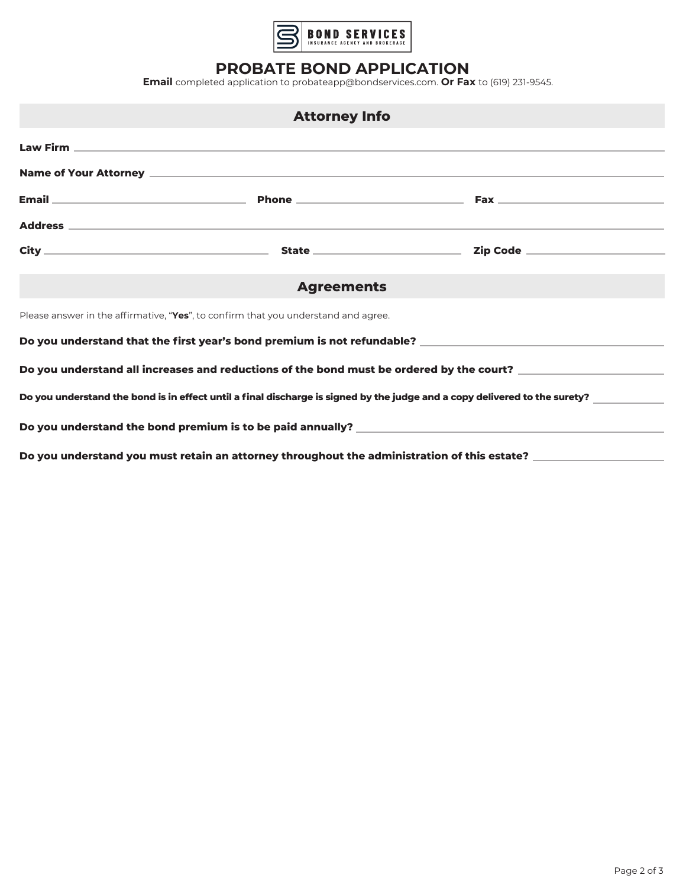

**Email** completed application to probateapp@bondservices.com. **Or Fax** to (619) 231-9545.

| <b>Attorney Info</b>                                                                                          |                                                                                    |                                                                                                                            |  |  |
|---------------------------------------------------------------------------------------------------------------|------------------------------------------------------------------------------------|----------------------------------------------------------------------------------------------------------------------------|--|--|
|                                                                                                               |                                                                                    |                                                                                                                            |  |  |
|                                                                                                               |                                                                                    |                                                                                                                            |  |  |
|                                                                                                               |                                                                                    |                                                                                                                            |  |  |
|                                                                                                               |                                                                                    |                                                                                                                            |  |  |
|                                                                                                               |                                                                                    | <u>Zip Code ________________________</u>                                                                                   |  |  |
|                                                                                                               | <b>Agreements</b>                                                                  |                                                                                                                            |  |  |
|                                                                                                               | Please answer in the affirmative, "Yes", to confirm that you understand and agree. |                                                                                                                            |  |  |
|                                                                                                               |                                                                                    | Do you understand that the first year's bond premium is not refundable? ____________________________                       |  |  |
|                                                                                                               |                                                                                    | Do you understand all increases and reductions of the bond must be ordered by the court? _____________________             |  |  |
|                                                                                                               |                                                                                    | Do you understand the bond is in effect until a final discharge is signed by the judge and a copy delivered to the surety? |  |  |
|                                                                                                               |                                                                                    |                                                                                                                            |  |  |
| Do you understand you must retain an attorney throughout the administration of this estate? _________________ |                                                                                    |                                                                                                                            |  |  |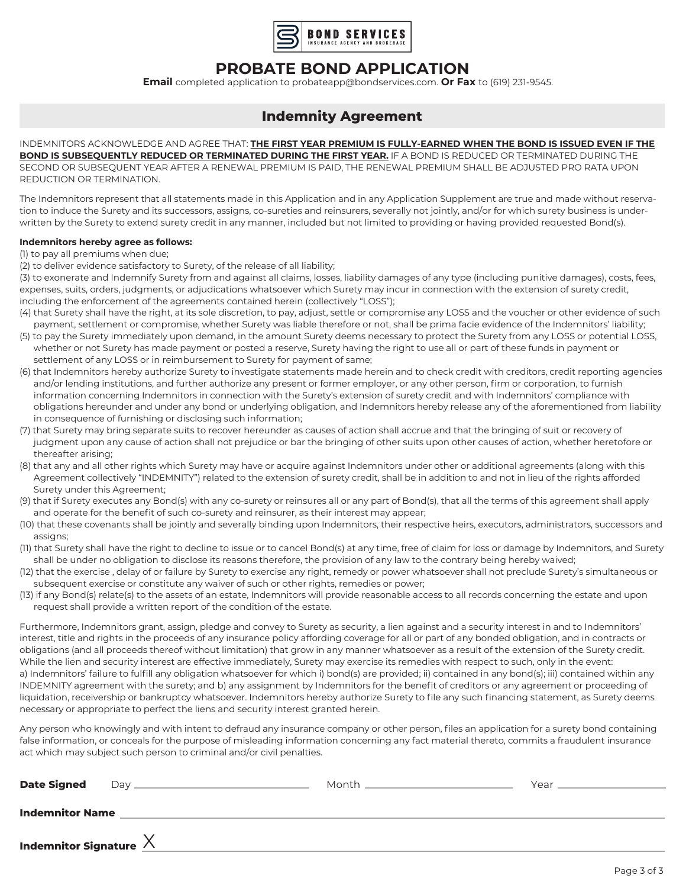

**Email** completed application to probateapp@bondservices.com. **Or Fax** to (619) 231-9545.

#### **Indemnity Agreement**

INDEMNITORS ACKNOWLEDGE AND AGREE THAT: **THE FIRST YEAR PREMIUM IS FULLY-EARNED WHEN THE BOND IS ISSUED EVEN IF THE BOND IS SUBSEQUENTLY REDUCED OR TERMINATED DURING THE FIRST YEAR.** IF A BOND IS REDUCED OR TERMINATED DURING THE SECOND OR SUBSEQUENT YEAR AFTER A RENEWAL PREMIUM IS PAID, THE RENEWAL PREMIUM SHALL BE ADJUSTED PRO RATA UPON REDUCTION OR TERMINATION.

The Indemnitors represent that all statements made in this Application and in any Application Supplement are true and made without reservation to induce the Surety and its successors, assigns, co-sureties and reinsurers, severally not jointly, and/or for which surety business is underwritten by the Surety to extend surety credit in any manner, included but not limited to providing or having provided requested Bond(s).

#### **Indemnitors hereby agree as follows:**

(1) to pay all premiums when due;

(2) to deliver evidence satisfactory to Surety, of the release of all liability;

(3) to exonerate and Indemnify Surety from and against all claims, losses, liability damages of any type (including punitive damages), costs, fees, expenses, suits, orders, judgments, or adjudications whatsoever which Surety may incur in connection with the extension of surety credit, including the enforcement of the agreements contained herein (collectively "LOSS");

- (4) that Surety shall have the right, at its sole discretion, to pay, adjust, settle or compromise any LOSS and the voucher or other evidence of such payment, settlement or compromise, whether Surety was liable therefore or not, shall be prima facie evidence of the Indemnitors' liability;
- (5) to pay the Surety immediately upon demand, in the amount Surety deems necessary to protect the Surety from any LOSS or potential LOSS, whether or not Surety has made payment or posted a reserve, Surety having the right to use all or part of these funds in payment or settlement of any LOSS or in reimbursement to Surety for payment of same;
- (6) that Indemnitors hereby authorize Surety to investigate statements made herein and to check credit with creditors, credit reporting agencies and/or lending institutions, and further authorize any present or former employer, or any other person, firm or corporation, to furnish information concerning Indemnitors in connection with the Surety's extension of surety credit and with Indemnitors' compliance with obligations hereunder and under any bond or underlying obligation, and Indemnitors hereby release any of the aforementioned from liability in consequence of furnishing or disclosing such information;
- (7) that Surety may bring separate suits to recover hereunder as causes of action shall accrue and that the bringing of suit or recovery of judgment upon any cause of action shall not prejudice or bar the bringing of other suits upon other causes of action, whether heretofore or thereafter arising;
- (8) that any and all other rights which Surety may have or acquire against Indemnitors under other or additional agreements (along with this Agreement collectively "INDEMNITY") related to the extension of surety credit, shall be in addition to and not in lieu of the rights afforded Surety under this Agreement;
- (9) that if Surety executes any Bond(s) with any co-surety or reinsures all or any part of Bond(s), that all the terms of this agreement shall apply and operate for the benefit of such co-surety and reinsurer, as their interest may appear;
- (10) that these covenants shall be jointly and severally binding upon Indemnitors, their respective heirs, executors, administrators, successors and assigns;
- (11) that Surety shall have the right to decline to issue or to cancel Bond(s) at any time, free of claim for loss or damage by Indemnitors, and Surety shall be under no obligation to disclose its reasons therefore, the provision of any law to the contrary being hereby waived;
- (12) that the exercise , delay of or failure by Surety to exercise any right, remedy or power whatsoever shall not preclude Surety's simultaneous or subsequent exercise or constitute any waiver of such or other rights, remedies or power;
- (13) if any Bond(s) relate(s) to the assets of an estate, Indemnitors will provide reasonable access to all records concerning the estate and upon request shall provide a written report of the condition of the estate.

Furthermore, Indemnitors grant, assign, pledge and convey to Surety as security, a lien against and a security interest in and to Indemnitors' interest, title and rights in the proceeds of any insurance policy affording coverage for all or part of any bonded obligation, and in contracts or obligations (and all proceeds thereof without limitation) that grow in any manner whatsoever as a result of the extension of the Surety credit. While the lien and security interest are effective immediately, Surety may exercise its remedies with respect to such, only in the event: a) Indemnitors' failure to fulfill any obligation whatsoever for which i) bond(s) are provided; ii) contained in any bond(s); iii) contained within any INDEMNITY agreement with the surety; and b) any assignment by Indemnitors for the benefit of creditors or any agreement or proceeding of liquidation, receivership or bankruptcy whatsoever. Indemnitors hereby authorize Surety to file any such financing statement, as Surety deems necessary or appropriate to perfect the liens and security interest granted herein.

Any person who knowingly and with intent to defraud any insurance company or other person, files an application for a surety bond containing false information, or conceals for the purpose of misleading information concerning any fact material thereto, commits a fraudulent insurance act which may subject such person to criminal and/or civil penalties.

| <b>Date Signed</b>                  | Dav | Month | Year |
|-------------------------------------|-----|-------|------|
| <b>Indemnitor Name</b>              |     |       |      |
|                                     |     |       |      |
| Indemnitor Signature $\overline{X}$ |     |       |      |